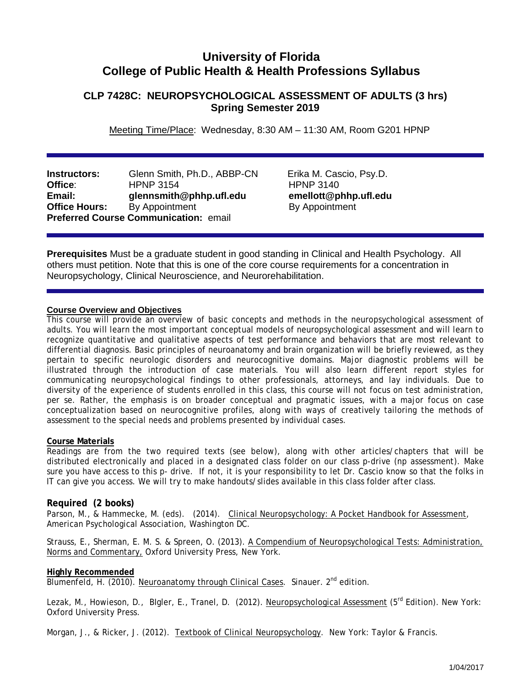# **University of Florida College of Public Health & Health Professions Syllabus**

## **CLP 7428C: NEUROPSYCHOLOGICAL ASSESSMENT OF ADULTS (3 hrs) Spring Semester 2019**

Meeting Time/Place: Wednesday, 8:30 AM – 11:30 AM, Room G201 HPNP

**Instructors:** Glenn Smith, Ph.D., ABBP-CNErika M. Cascio, Psy.D. **Office:** HPNP 3154 HPNP 3154<br> **Email:** Glennsmith@phhp.ufl.edu emellott@phhp.ufl.edu **Email:** glennsmith@phhp.ufl.edu emellott@phhp<br> **Office Hours:** By Appointment By Appointment **By Appointment Preferred Course Communication:** email

**Prerequisites** Must be a graduate student in good standing in Clinical and Health Psychology. All others must petition. Note that this is one of the core course requirements for a concentration in Neuropsychology, Clinical Neuroscience, and Neurorehabilitation.

## **Course Overview and Objectives**

This course will provide an overview of basic concepts and methods in the neuropsychological assessment of adults. You will learn the most important conceptual models of neuropsychological assessment and will learn to recognize quantitative and qualitative aspects of test performance and behaviors that are most relevant to differential diagnosis. Basic principles of neuroanatomy and brain organization will be briefly reviewed, as they pertain to specific neurologic disorders and neurocognitive domains. Major diagnostic problems will be illustrated through the introduction of case materials. You will also learn different report styles for communicating neuropsychological findings to other professionals, attorneys, and lay individuals. Due to diversity of the experience of students enrolled in this class, this course will not focus on test administration, per se. Rather, the emphasis is on broader conceptual and pragmatic issues, with a major focus on case conceptualization based on neurocognitive profiles, along with ways of creatively tailoring the methods of assessment to the special needs and problems presented by individual cases.

## **Course Materials**

Readings are from the two required texts (see below), along with other articles/chapters that will be distributed electronically and placed in a designated class folder on our class p-drive (np assessment). Make sure you have access to this p- drive. If not, it is your responsibility to let Dr. Cascio know so that the folks in IT can give you access. We will try to make handouts/slides available in this class folder after class.

## **Required (2 books)**

Parson, M., & Hammecke, M. (eds). (2014). Clinical Neuropsychology: A Pocket Handbook for Assessment, American Psychological Association, Washington DC.

Strauss, E., Sherman, E. M. S. & Spreen, O. (2013). A Compendium of Neuropsychological Tests: Administration, Norms and Commentary, Oxford University Press, New York.

## **Highly Recommended**

Blumenfeld, H. (2010). Neuroanatomy through Clinical Cases. Sinauer. 2<sup>nd</sup> edition.

Lezak, M., Howieson, D., Blgler, E., Tranel, D. (2012). Neuropsychological Assessment (5<sup>rd</sup> Edition). New York: Oxford University Press.

Morgan, J., & Ricker, J. (2012). Textbook of Clinical Neuropsychology. New York: Taylor & Francis.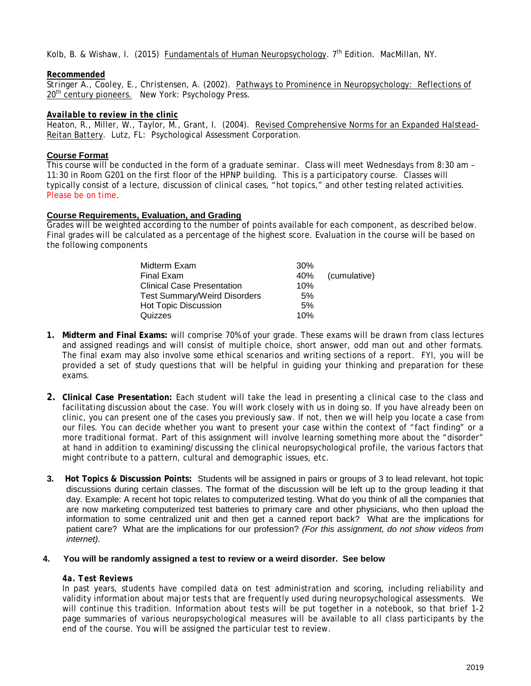Kolb, B. & Wishaw, I. (2015) Fundamentals of Human Neuropsychology. 7<sup>th</sup> Edition. MacMillan. NY.

## *Recommended*

*Stringer A., Cooley, E., Christensen, A. (2002).* Pathways to Prominence in Neuropsychology: Reflections of 20<sup>th</sup> century pioneers. New York: Psychology Press.

## *Available to review in the clinic*

Heaton, R., Miller, W., Taylor, M., Grant, I. (2004). Revised Comprehensive Norms for an Expanded Halstead-Reitan Battery. Lutz, FL: Psychological Assessment Corporation.

## **Course Format**

This course will be conducted in the form of a graduate seminar. Class will meet Wednesdays from 8:30 am – 11:30 in Room G201 on the first floor of the HPNP building. This is a participatory course. Classes will typically consist of a lecture, discussion of clinical cases, "hot topics," and other testing related activities. Please be on time.

## **Course Requirements, Evaluation, and Grading**

Grades will be weighted according to the number of points available for each component, as described below. Final grades will be calculated as a percentage of the highest score. Evaluation in the course will be based on the following components

| Midterm Exam                        | 30% |              |
|-------------------------------------|-----|--------------|
| Final Exam                          | 40% | (cumulative) |
| <b>Clinical Case Presentation</b>   | 10% |              |
| <b>Test Summary/Weird Disorders</b> | 5%  |              |
| <b>Hot Topic Discussion</b>         | 5%  |              |
| Quizzes                             | 10% |              |

- **1. Midterm and Final Exams:** will comprise 70% of your grade. These exams will be drawn from class lectures and assigned readings and will consist of multiple choice, short answer, odd man out and other formats. The final exam may also involve some ethical scenarios and writing sections of a report. FYI, you will be provided a set of study questions that will be helpful in guiding your thinking and preparation for these exams.
- **2. Clinical Case Presentation:** Each student will take the lead in presenting a clinical case to the class and facilitating discussion about the case. You will work closely with us in doing so. If you have already been on clinic, you can present one of the cases you previously saw. If not, then we will help you locate a case from our files. You can decide whether you want to present your case within the context of "fact finding" or a more traditional format. Part of this assignment will involve learning something more about the "disorder" at hand in addition to examining/discussing the clinical neuropsychological profile, the various factors that might contribute to a pattern, cultural and demographic issues, etc.
- **3. Hot Topics & Discussion Points:** Students will be assigned in pairs or groups of 3 to lead relevant, hot topic discussions during certain classes. The format of the discussion will be left up to the group leading it that day. Example: A recent hot topic relates to computerized testing. What do you think of all the companies that are now marketing computerized test batteries to primary care and other physicians, who then upload the information to some centralized unit and then get a canned report back? What are the implications for patient care? What are the implications for our profession? *(For this assignment, do not show videos from internet).*

## **4. You will be randomly assigned a test to review or a weird disorder. See below**

## *4a. Test Reviews*

In past years, students have compiled data on test administration and scoring, including reliability and validity information about major tests that are frequently used during neuropsychological assessments. We will continue this tradition. Information about tests will be put together in a notebook, so that brief 1-2 page summaries of various neuropsychological measures will be available to all class participants by the end of the course. You will be assigned the particular test to review.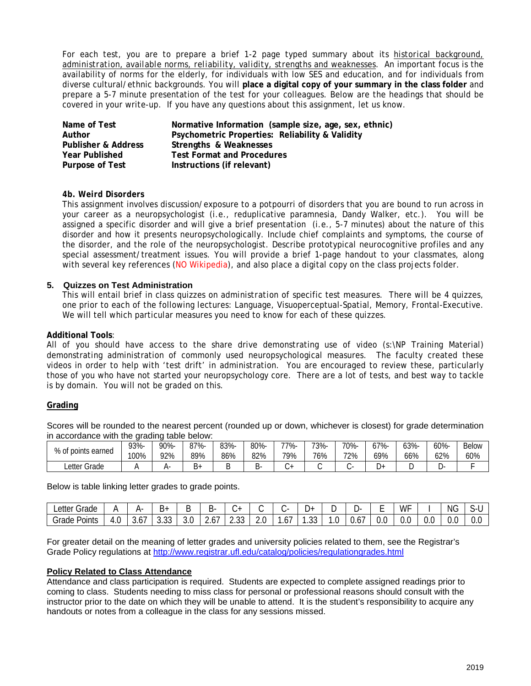For each test, you are to prepare a brief 1-2 page typed summary about its *historical background, administration, available norms, reliability, validity, strengths and weaknesses*. An important focus is the availability of norms for the elderly, for individuals with low SES and education, and for individuals from diverse cultural/ethnic backgrounds. You will **place a digital copy of your summary in the class folder** and prepare a 5-7 minute presentation of the test for your colleagues. Below are the headings that should be covered in your write-up. If you have any questions about this assignment, let us know.

| Name of Test                   | Normative Information (sample size, age, sex, ethnic) |
|--------------------------------|-------------------------------------------------------|
| Author                         | Psychometric Properties: Reliability & Validity       |
| <b>Publisher &amp; Address</b> | Strengths & Weaknesses                                |
| <b>Year Published</b>          | <b>Test Format and Procedures</b>                     |
| Purpose of Test                | Instructions (if relevant)                            |

## *4b. Weird Disorders*

This assignment involves discussion/exposure to a potpourri of disorders that you are bound to run across in your career as a neuropsychologist (i.e., reduplicative paramnesia, Dandy Walker, etc.). You will be assigned a specific disorder and will give a brief presentation (i.e., 5-7 minutes) about the nature of this disorder and how it presents neuropsychologically. Include chief complaints and symptoms, the course of the disorder, and the role of the neuropsychologist. Describe prototypical neurocognitive profiles and any special assessment/treatment issues. You will provide a brief 1-page handout to your classmates, along with several key references (NO Wikipedia), and also place a digital copy on the class projects folder.

## **5. Quizzes on Test Administration**

This will entail brief in class quizzes on *administration* of specific test measures. There will be 4 quizzes, one prior to each of the following lectures: Language, Visuoperceptual-Spatial, Memory, Frontal-Executive. We will tell which particular measures you need to know for each of these quizzes.

## **Additional Tools**:

All of you should have access to the share drive demonstrating use of video (s:\NP Training Material) demonstrating administration of commonly used neuropsychological measures. The faculty created these videos in order to help with 'test drift' in administration. You are encouraged to review these, particularly those of you who have not started your neuropsychology core. There are a lot of tests, and best way to tackle is by domain. You will not be graded on this.

## **Grading**

Scores will be rounded to the nearest percent (rounded up or down, whichever is closest) for grade determination in accordance with the grading table below:

| 0/                       | 93%- | 90%- | ገ7%- | 83%- | 80%- | -77% | 73%- | 70%- | 7%- | 63%- | $60% -$ | <b>Below</b> |
|--------------------------|------|------|------|------|------|------|------|------|-----|------|---------|--------------|
| % of points earned       | 100% | 72%  | 89%  | 86%  | 82%  | 79%  | 76%  | 72%  | 69% | 66%  | 62%     | 60%          |
| Grade<br>_etter <i>(</i> |      |      | В۰   | . .  | o٠   | . س  |      |      | در, | ┕    |         |              |

Below is table linking letter grades to grade points.

| $\sim$<br>∟etter 1<br>Grade |                                     | --          | +ت   |     | ້<br>∽-<br>╺ | -<br>$\cdot$ $\cdot$   | -<br>∼     |          | → ا             |     | - ب          | -<br>- | WF  |     | ΝG            | $\overline{\phantom{0}}$<br>\- I<br>ັ |
|-----------------------------|-------------------------------------|-------------|------|-----|--------------|------------------------|------------|----------|-----------------|-----|--------------|--------|-----|-----|---------------|---------------------------------------|
| -<br>Points<br>Grade        | $\overline{\phantom{0}}$<br>Д<br>.U | . –<br>3.0/ | ບ.ບບ | J.U | 2.01         | $\sim$<br>∽<br>ں ں ، ے | ı n<br>Z.U | -<br>.6. | $\sim$<br>ں ں . | . ب | J.O <i>I</i> | v.J    | v.J | v.J | $\sim$<br>v.u | n n<br>v.v                            |

For greater detail on the meaning of letter grades and university policies related to them, see the Registrar's Grade Policy regulations at<http://www.registrar.ufl.edu/catalog/policies/regulationgrades.html>

## **Policy Related to Class Attendance**

Attendance and class participation is required. Students are expected to complete assigned readings prior to coming to class. Students needing to miss class for personal or professional reasons should consult with the instructor prior to the date on which they will be unable to attend. It is the student's responsibility to acquire any handouts or notes from a colleague in the class for any sessions missed.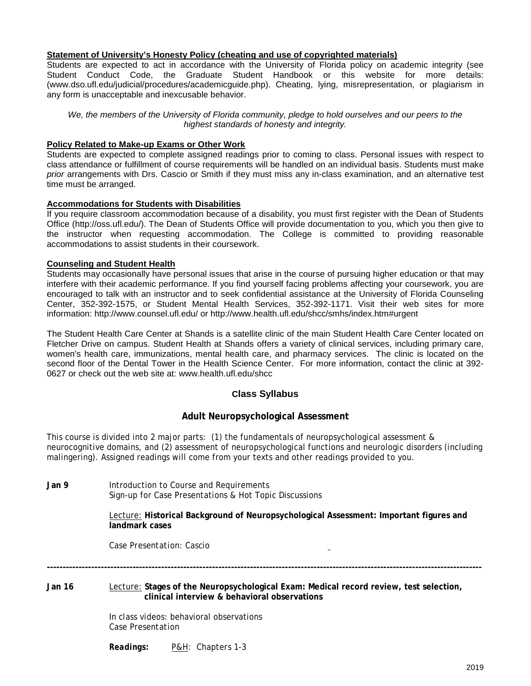## **Statement of University's Honesty Policy (cheating and use of copyrighted materials)**

Students are expected to act in accordance with the University of Florida policy on academic integrity (see Student Conduct Code, the Graduate Student Handbook or this website for more details: (www.dso.ufl.edu/judicial/procedures/academicguide.php). Cheating, lying, misrepresentation, or plagiarism in any form is unacceptable and inexcusable behavior.

*We, the members of the University of Florida community, pledge to hold ourselves and our peers to the highest standards of honesty and integrity.*

## **Policy Related to Make-up Exams or Other Work**

Students are expected to complete assigned readings prior to coming to class. Personal issues with respect to class attendance or fulfillment of course requirements will be handled on an individual basis. Students must make *prior* arrangements with Drs. Cascio or Smith if they must miss any in-class examination, and an alternative test time must be arranged.

## **Accommodations for Students with Disabilities**

If you require classroom accommodation because of a disability, you must first register with the Dean of Students Office (http://oss.ufl.edu/). The Dean of Students Office will provide documentation to you, which you then give to the instructor when requesting accommodation. The College is committed to providing reasonable accommodations to assist students in their coursework.

## **Counseling and Student Health**

Students may occasionally have personal issues that arise in the course of pursuing higher education or that may interfere with their academic performance. If you find yourself facing problems affecting your coursework, you are encouraged to talk with an instructor and to seek confidential assistance at the University of Florida Counseling Center, 352-392-1575, or Student Mental Health Services, 352-392-1171. Visit their web sites for more information: http://www.counsel.ufl.edu/ or http://www.health.ufl.edu/shcc/smhs/index.htm#urgent

The Student Health Care Center at Shands is a satellite clinic of the main Student Health Care Center located on Fletcher Drive on campus. Student Health at Shands offers a variety of clinical services, including primary care, women's health care, immunizations, mental health care, and pharmacy services. The clinic is located on the second floor of the Dental Tower in the Health Science Center. For more information, contact the clinic at 392- 0627 or check out the web site at: www.health.ufl.edu/shcc

## **Class Syllabus**

## **Adult Neuropsychological Assessment**

This course is divided into 2 major parts: (1) the fundamentals of neuropsychological assessment & neurocognitive domains, and (2) assessment of neuropsychological functions and neurologic disorders (including malingering). Assigned readings will come from your texts and other readings provided to you.

**Jan 9** Introduction to Course and Requirements Sign-up for Case Presentations & Hot Topic Discussions

> Lecture: **Historical Background of Neuropsychological Assessment: Important figures and landmark cases**

*Case Presentation: Cascio*

**Jan 16** Lecture: **Stages of the Neuropsychological Exam: Medical record review, test selection, clinical interview & behavioral observations** 

**-----------------------------------------------------------------------------------------------------------------------------------------**

*In class videos:* behavioral observations *Case Presentation* 

*Readings:* P&H*: Chapters 1-3*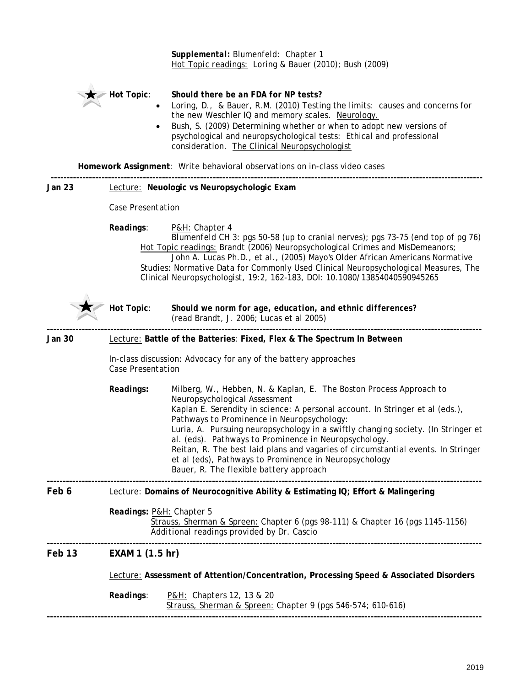|        |                                                                                         | Supplemental: Blumenfeld: Chapter 1<br>Hot Topic readings: Loring & Bauer (2010); Bush (2009)                                                                                                                                                                                                                                                                                                                                                                                                                                                                               |  |  |  |  |  |
|--------|-----------------------------------------------------------------------------------------|-----------------------------------------------------------------------------------------------------------------------------------------------------------------------------------------------------------------------------------------------------------------------------------------------------------------------------------------------------------------------------------------------------------------------------------------------------------------------------------------------------------------------------------------------------------------------------|--|--|--|--|--|
|        | <b>Hot Topic:</b><br>$\bullet$                                                          | Should there be an FDA for NP tests?<br>Loring, D., & Bauer, R.M. (2010) Testing the limits: causes and concerns for<br>the new Weschler IQ and memory scales. Neurology.<br>Bush, S. (2009) Determining whether or when to adopt new versions of<br>psychological and neuropsychological tests: Ethical and professional<br>consideration. The Clinical Neuropsychologist                                                                                                                                                                                                  |  |  |  |  |  |
|        |                                                                                         | Homework Assignment: Write behavioral observations on in-class video cases                                                                                                                                                                                                                                                                                                                                                                                                                                                                                                  |  |  |  |  |  |
| Jan 23 |                                                                                         | Lecture: Neuologic vs Neuropsychologic Exam                                                                                                                                                                                                                                                                                                                                                                                                                                                                                                                                 |  |  |  |  |  |
|        | Case Presentation                                                                       |                                                                                                                                                                                                                                                                                                                                                                                                                                                                                                                                                                             |  |  |  |  |  |
|        | Readings:                                                                               | P&H: Chapter 4<br>Blumenfeld CH 3: pgs 50-58 (up to cranial nerves); pgs 73-75 (end top of pg 76)<br>Hot Topic readings: Brandt (2006) Neuropsychological Crimes and MisDemeanors;<br>John A. Lucas Ph.D., et al., (2005) Mayo's Older African Americans Normative<br>Studies: Normative Data for Commonly Used Clinical Neuropsychological Measures, The<br>Clinical Neuropsychologist, 19:2, 162-183, DOI: 10.1080/13854040590945265                                                                                                                                      |  |  |  |  |  |
|        | Hot Topic:                                                                              | Should we norm for age, education, and ethnic differences?<br>(read Brandt, J. 2006; Lucas et al 2005)                                                                                                                                                                                                                                                                                                                                                                                                                                                                      |  |  |  |  |  |
| Jan 30 |                                                                                         | Lecture: Battle of the Batteries: Fixed, Flex & The Spectrum In Between                                                                                                                                                                                                                                                                                                                                                                                                                                                                                                     |  |  |  |  |  |
|        | Case Presentation                                                                       | In-class discussion: Advocacy for any of the battery approaches                                                                                                                                                                                                                                                                                                                                                                                                                                                                                                             |  |  |  |  |  |
|        | Readings:                                                                               | Milberg, W., Hebben, N. & Kaplan, E. The Boston Process Approach to<br>Neuropsychological Assessment<br>Kaplan E. Serendity in science: A personal account. In Stringer et al (eds.),<br>Pathways to Prominence in Neuropsychology:<br>Luria, A. Pursuing neuropsychology in a swiftly changing society. (In Stringer et<br>al. (eds). Pathways to Prominence in Neuropsychology.<br>Reitan, R. The best laid plans and vagaries of circumstantial events. In Stringer<br>et al (eds), Pathways to Prominence in Neuropsychology<br>Bauer, R. The flexible battery approach |  |  |  |  |  |
| Feb 6  |                                                                                         | Lecture: Domains of Neurocognitive Ability & Estimating IQ; Effort & Malingering                                                                                                                                                                                                                                                                                                                                                                                                                                                                                            |  |  |  |  |  |
|        | Readings: P&H: Chapter 5                                                                | Strauss, Sherman & Spreen: Chapter 6 (pgs 98-111) & Chapter 16 (pgs 1145-1156)<br>Additional readings provided by Dr. Cascio                                                                                                                                                                                                                                                                                                                                                                                                                                                |  |  |  |  |  |
| Feb 13 | EXAM 1 (1.5 hr)                                                                         |                                                                                                                                                                                                                                                                                                                                                                                                                                                                                                                                                                             |  |  |  |  |  |
|        | Lecture: Assessment of Attention/Concentration, Processing Speed & Associated Disorders |                                                                                                                                                                                                                                                                                                                                                                                                                                                                                                                                                                             |  |  |  |  |  |
|        | Readings:                                                                               | P&H: Chapters 12, 13 & 20<br>Strauss, Sherman & Spreen: Chapter 9 (pgs 546-574; 610-616)                                                                                                                                                                                                                                                                                                                                                                                                                                                                                    |  |  |  |  |  |
|        |                                                                                         |                                                                                                                                                                                                                                                                                                                                                                                                                                                                                                                                                                             |  |  |  |  |  |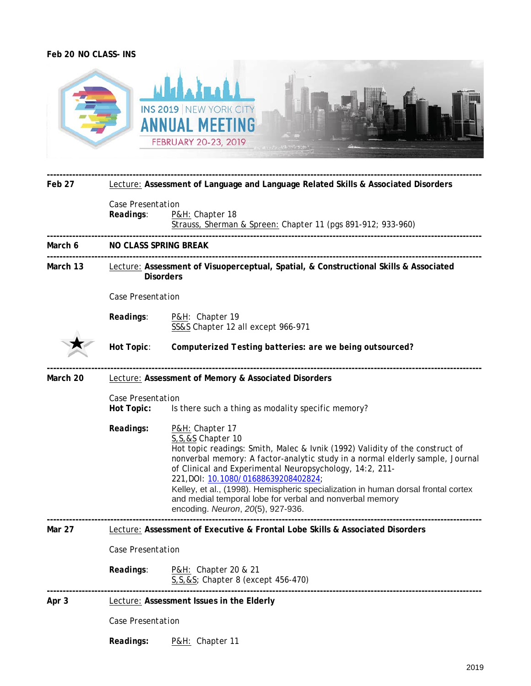## **Feb 20 NO CLASS- INS**



| Feb 27   | Lecture: Assessment of Language and Language Related Skills & Associated Disorders                                |                                                                                                                                                                                                                                                                                                                                                                                                                                                                                                    |  |  |  |  |  |  |  |
|----------|-------------------------------------------------------------------------------------------------------------------|----------------------------------------------------------------------------------------------------------------------------------------------------------------------------------------------------------------------------------------------------------------------------------------------------------------------------------------------------------------------------------------------------------------------------------------------------------------------------------------------------|--|--|--|--|--|--|--|
|          | Case Presentation<br>Readings:<br>P&H: Chapter 18<br>Strauss, Sherman & Spreen: Chapter 11 (pgs 891-912; 933-960) |                                                                                                                                                                                                                                                                                                                                                                                                                                                                                                    |  |  |  |  |  |  |  |
| March 6  |                                                                                                                   | NO CLASS SPRING BREAK                                                                                                                                                                                                                                                                                                                                                                                                                                                                              |  |  |  |  |  |  |  |
| March 13 |                                                                                                                   | Lecture: Assessment of Visuoperceptual, Spatial, & Constructional Skills & Associated<br><b>Disorders</b>                                                                                                                                                                                                                                                                                                                                                                                          |  |  |  |  |  |  |  |
|          |                                                                                                                   | Case Presentation                                                                                                                                                                                                                                                                                                                                                                                                                                                                                  |  |  |  |  |  |  |  |
|          | Readings:                                                                                                         | P&H: Chapter 19<br>SS&S Chapter 12 all except 966-971                                                                                                                                                                                                                                                                                                                                                                                                                                              |  |  |  |  |  |  |  |
|          | Hot Topic:                                                                                                        | Computerized Testing batteries: are we being outsourced?                                                                                                                                                                                                                                                                                                                                                                                                                                           |  |  |  |  |  |  |  |
| March 20 | <b>Lecture: Assessment of Memory &amp; Associated Disorders</b>                                                   |                                                                                                                                                                                                                                                                                                                                                                                                                                                                                                    |  |  |  |  |  |  |  |
|          | Case Presentation<br>Hot Topic:                                                                                   | Is there such a thing as modality specific memory?                                                                                                                                                                                                                                                                                                                                                                                                                                                 |  |  |  |  |  |  |  |
|          | Readings:                                                                                                         | P&H: Chapter 17<br>S, S, & S Chapter 10<br>Hot topic readings: Smith, Malec & Ivnik (1992) Validity of the construct of<br>nonverbal memory: A factor-analytic study in a normal elderly sample, Journal<br>of Clinical and Experimental Neuropsychology, 14:2, 211-<br>221, DOI: 10.1080/01688639208402824;<br>Kelley, et al., (1998). Hemispheric specialization in human dorsal frontal cortex<br>and medial temporal lobe for verbal and nonverbal memory<br>encoding. Neuron, 20(5), 927-936. |  |  |  |  |  |  |  |
| Mar 27   | Lecture: Assessment of Executive & Frontal Lobe Skills & Associated Disorders                                     |                                                                                                                                                                                                                                                                                                                                                                                                                                                                                                    |  |  |  |  |  |  |  |
|          | Case Presentation                                                                                                 |                                                                                                                                                                                                                                                                                                                                                                                                                                                                                                    |  |  |  |  |  |  |  |
|          | Readings:                                                                                                         | P&H: Chapter 20 & 21<br>S, S, & S; Chapter 8 (except 456-470)                                                                                                                                                                                                                                                                                                                                                                                                                                      |  |  |  |  |  |  |  |
| Apr 3    |                                                                                                                   | Lecture: Assessment Issues in the Elderly                                                                                                                                                                                                                                                                                                                                                                                                                                                          |  |  |  |  |  |  |  |
|          | Case Presentation                                                                                                 |                                                                                                                                                                                                                                                                                                                                                                                                                                                                                                    |  |  |  |  |  |  |  |
|          | Readings:                                                                                                         | P&H: Chapter 11                                                                                                                                                                                                                                                                                                                                                                                                                                                                                    |  |  |  |  |  |  |  |